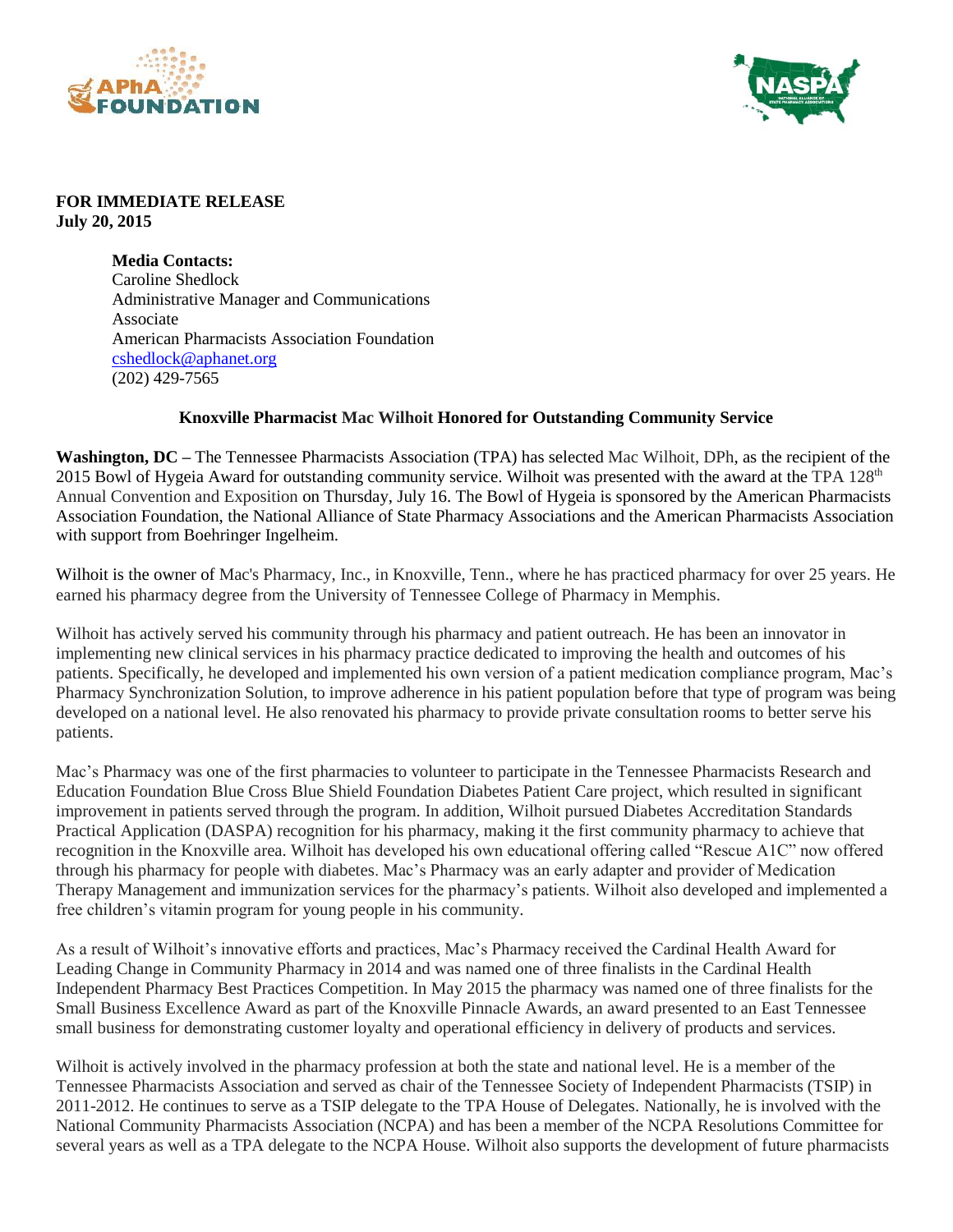



## **FOR IMMEDIATE RELEASE July 20, 2015**

**Media Contacts:** Caroline Shedlock Administrative Manager and Communications Associate American Pharmacists Association Foundation [cshedlock@aphanet.org](mailto:cshedlock@aphanet.org) (202) 429-7565

## **Knoxville Pharmacist Mac Wilhoit Honored for Outstanding Community Service**

**Washington, DC** – The Tennessee Pharmacists Association (TPA) has selected Mac Wilhoit, DPh, as the recipient of the 2015 Bowl of Hygeia Award for outstanding community service. Wilhoit was presented with the award at the TPA 128<sup>th</sup> Annual Convention and Exposition on Thursday, July 16. The Bowl of Hygeia is sponsored by the American Pharmacists Association Foundation, the National Alliance of State Pharmacy Associations and the American Pharmacists Association with support from Boehringer Ingelheim.

Wilhoit is the owner of Mac's Pharmacy, Inc., in Knoxville, Tenn., where he has practiced pharmacy for over 25 years. He earned his pharmacy degree from the University of Tennessee College of Pharmacy in Memphis.

Wilhoit has actively served his community through his pharmacy and patient outreach. He has been an innovator in implementing new clinical services in his pharmacy practice dedicated to improving the health and outcomes of his patients. Specifically, he developed and implemented his own version of a patient medication compliance program, Mac's Pharmacy Synchronization Solution, to improve adherence in his patient population before that type of program was being developed on a national level. He also renovated his pharmacy to provide private consultation rooms to better serve his patients.

Mac's Pharmacy was one of the first pharmacies to volunteer to participate in the Tennessee Pharmacists Research and Education Foundation Blue Cross Blue Shield Foundation Diabetes Patient Care project, which resulted in significant improvement in patients served through the program. In addition, Wilhoit pursued Diabetes Accreditation Standards Practical Application (DASPA) recognition for his pharmacy, making it the first community pharmacy to achieve that recognition in the Knoxville area. Wilhoit has developed his own educational offering called "Rescue A1C" now offered through his pharmacy for people with diabetes. Mac's Pharmacy was an early adapter and provider of Medication Therapy Management and immunization services for the pharmacy's patients. Wilhoit also developed and implemented a free children's vitamin program for young people in his community.

As a result of Wilhoit's innovative efforts and practices, Mac's Pharmacy received the Cardinal Health Award for Leading Change in Community Pharmacy in 2014 and was named one of three finalists in the Cardinal Health Independent Pharmacy Best Practices Competition. In May 2015 the pharmacy was named one of three finalists for the Small Business Excellence Award as part of the Knoxville Pinnacle Awards, an award presented to an East Tennessee small business for demonstrating customer loyalty and operational efficiency in delivery of products and services.

Wilhoit is actively involved in the pharmacy profession at both the state and national level. He is a member of the Tennessee Pharmacists Association and served as chair of the Tennessee Society of Independent Pharmacists (TSIP) in 2011-2012. He continues to serve as a TSIP delegate to the TPA House of Delegates. Nationally, he is involved with the National Community Pharmacists Association (NCPA) and has been a member of the NCPA Resolutions Committee for several years as well as a TPA delegate to the NCPA House. Wilhoit also supports the development of future pharmacists